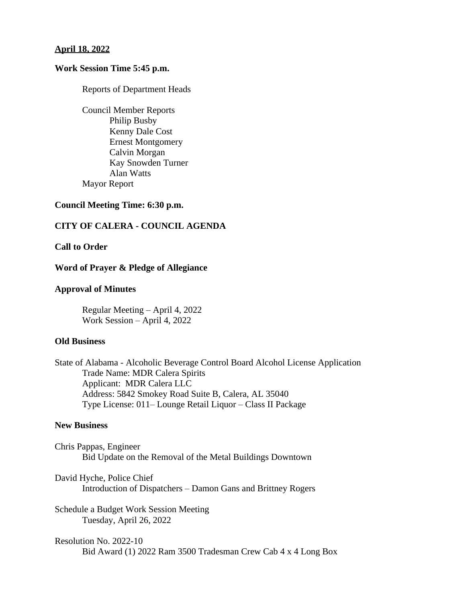## **April 18, 2022**

## **Work Session Time 5:45 p.m.**

Reports of Department Heads

Council Member Reports Philip Busby Kenny Dale Cost Ernest Montgomery Calvin Morgan Kay Snowden Turner Alan Watts Mayor Report

# **Council Meeting Time: 6:30 p.m.**

# **CITY OF CALERA - COUNCIL AGENDA**

# **Call to Order**

#### **Word of Prayer & Pledge of Allegiance**

#### **Approval of Minutes**

Regular Meeting – April 4, 2022 Work Session – April 4, 2022

#### **Old Business**

State of Alabama - Alcoholic Beverage Control Board Alcohol License Application Trade Name: MDR Calera Spirits Applicant: MDR Calera LLC Address: 5842 Smokey Road Suite B, Calera, AL 35040 Type License: 011– Lounge Retail Liquor – Class II Package

# **New Business**

Chris Pappas, Engineer Bid Update on the Removal of the Metal Buildings Downtown

David Hyche, Police Chief Introduction of Dispatchers – Damon Gans and Brittney Rogers

Schedule a Budget Work Session Meeting Tuesday, April 26, 2022

Resolution No. 2022-10 Bid Award (1) 2022 Ram 3500 Tradesman Crew Cab 4 x 4 Long Box